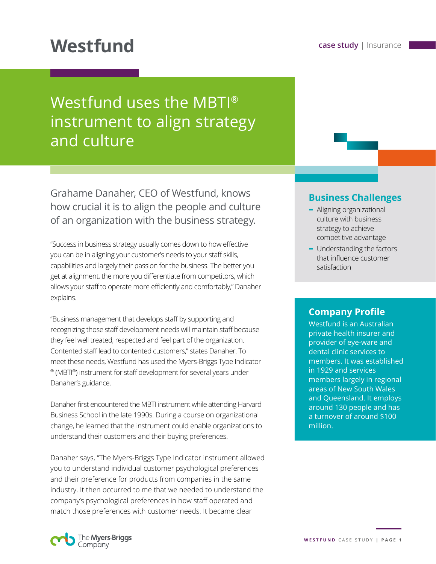# **Westfund case study** | Insurance

# Westfund uses the MBTI® instrument to align strategy and culture

Grahame Danaher, CEO of Westfund, knows how crucial it is to align the people and culture of an organization with the business strategy.

"Success in business strategy usually comes down to how effective you can be in aligning your customer's needs to your staff skills, capabilities and largely their passion for the business. The better you get at alignment, the more you differentiate from competitors, which allows your staff to operate more efficiently and comfortably," Danaher explains.

"Business management that develops staff by supporting and recognizing those staff development needs will maintain staff because they feel well treated, respected and feel part of the organization. Contented staff lead to contented customers," states Danaher. To meet these needs, Westfund has used the Myers-Briggs Type Indicator ® (MBTI®) instrument for staff development for several years under Danaher's guidance.

Danaher first encountered the MBTI instrument while attending Harvard Business School in the late 1990s. During a course on organizational change, he learned that the instrument could enable organizations to understand their customers and their buying preferences.

Danaher says, "The Myers-Briggs Type Indicator instrument allowed you to understand individual customer psychological preferences and their preference for products from companies in the same industry. It then occurred to me that we needed to understand the company's psychological preferences in how staff operated and match those preferences with customer needs. It became clear

#### **Business Challenges**

- **-** Aligning organizational culture with business strategy to achieve competitive advantage
- **-** Understanding the factors that influence customer satisfaction

#### **Company Profile**

Westfund is an Australian private health insurer and provider of eye-ware and dental clinic services to members. It was established in 1929 and services members largely in regional areas of New South Wales and Queensland. It employs around 130 people and has a turnover of around \$100 million.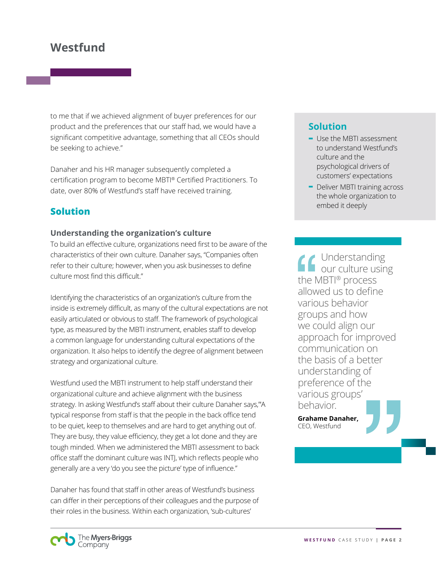# **Westfund**

to me that if we achieved alignment of buyer preferences for our product and the preferences that our staff had, we would have a significant competitive advantage, something that all CEOs should be seeking to achieve."

Danaher and his HR manager subsequently completed a certification program to become MBTI® Certified Practitioners. To date, over 80% of Westfund's staff have received training.

## **Solution**

#### **Understanding the organization's culture**

To build an effective culture, organizations need first to be aware of the characteristics of their own culture. Danaher says, "Companies often refer to their culture; however, when you ask businesses to define culture most find this difficult."

Identifying the characteristics of an organization's culture from the inside is extremely difficult, as many of the cultural expectations are not easily articulated or obvious to staff. The framework of psychological type, as measured by the MBTI instrument, enables staff to develop a common language for understanding cultural expectations of the organization. It also helps to identify the degree of alignment between strategy and organizational culture.

Westfund used the MBTI instrument to help staff understand their organizational culture and achieve alignment with the business strategy. In asking Westfund's staff about their culture Danaher says,"'A typical response from staff is that the people in the back office tend to be quiet, keep to themselves and are hard to get anything out of. They are busy, they value efficiency, they get a lot done and they are tough minded. When we administered the MBTI assessment to back office staff the dominant culture was INTJ, which reflects people who generally are a very 'do you see the picture' type of influence."

Danaher has found that staff in other areas of Westfund's business can differ in their perceptions of their colleagues and the purpose of their roles in the business. Within each organization, 'sub-cultures'

### **Solution**

- **-** Use the MBTI assessment to understand Westfund's culture and the psychological drivers of customers' expectations
- **-** Deliver MBTI training across the whole organization to embed it deeply

Understanding our culture using the MBTI® process allowed us to define various behavior groups and how we could align our approach for improved communication on the basis of a better understanding of preference of the various groups' behavior.

**Grahame Danaher,**  CEO, Westfund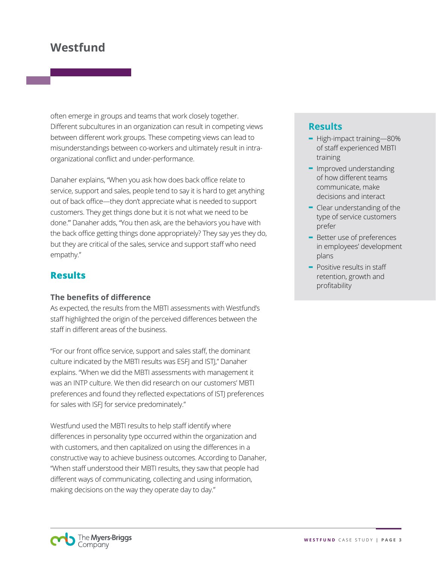# **Westfund**

often emerge in groups and teams that work closely together. Different subcultures in an organization can result in competing views between different work groups. These competing views can lead to misunderstandings between co-workers and ultimately result in intraorganizational conflict and under-performance.

Danaher explains, "When you ask how does back office relate to service, support and sales, people tend to say it is hard to get anything out of back office—they don't appreciate what is needed to support customers. They get things done but it is not what we need to be done.'" Danaher adds, "You then ask, are the behaviors you have with the back office getting things done appropriately? They say yes they do, but they are critical of the sales, service and support staff who need empathy."

#### **Results**

#### **The benefits of difference**

As expected, the results from the MBTI assessments with Westfund's staff highlighted the origin of the perceived differences between the staff in different areas of the business.

"For our front office service, support and sales staff, the dominant culture indicated by the MBTI results was ESFJ and ISTJ," Danaher explains. "When we did the MBTI assessments with management it was an INTP culture. We then did research on our customers' MBTI preferences and found they reflected expectations of ISTJ preferences for sales with ISFJ for service predominately."

Westfund used the MBTI results to help staff identify where differences in personality type occurred within the organization and with customers, and then capitalized on using the differences in a constructive way to achieve business outcomes. According to Danaher, "When staff understood their MBTI results, they saw that people had different ways of communicating, collecting and using information, making decisions on the way they operate day to day."

### **Results**

- **-** High-impact training—80% of staff experienced MBTI training
- **-** Improved understanding of how different teams communicate, make decisions and interact
- **-** Clear understanding of the type of service customers prefer
- **-** Better use of preferences in employees' development plans
- **-** Positive results in staff retention, growth and profitability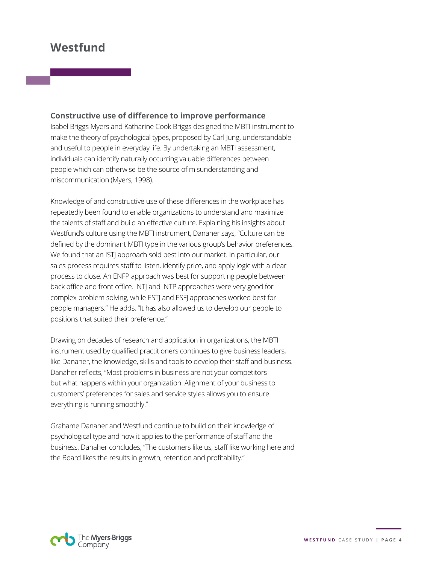# **Westfund**

#### **Constructive use of difference to improve performance**

Isabel Briggs Myers and Katharine Cook Briggs designed the MBTI instrument to make the theory of psychological types, proposed by Carl Jung, understandable and useful to people in everyday life. By undertaking an MBTI assessment, individuals can identify naturally occurring valuable differences between people which can otherwise be the source of misunderstanding and miscommunication (Myers, 1998).

Knowledge of and constructive use of these differences in the workplace has repeatedly been found to enable organizations to understand and maximize the talents of staff and build an effective culture. Explaining his insights about Westfund's culture using the MBTI instrument, Danaher says, "Culture can be defined by the dominant MBTI type in the various group's behavior preferences. We found that an ISTJ approach sold best into our market. In particular, our sales process requires staff to listen, identify price, and apply logic with a clear process to close. An ENFP approach was best for supporting people between back office and front office. INTJ and INTP approaches were very good for complex problem solving, while ESTJ and ESFJ approaches worked best for people managers." He adds, "It has also allowed us to develop our people to positions that suited their preference."

Drawing on decades of research and application in organizations, the MBTI instrument used by qualified practitioners continues to give business leaders, like Danaher, the knowledge, skills and tools to develop their staff and business. Danaher reflects, "Most problems in business are not your competitors but what happens within your organization. Alignment of your business to customers' preferences for sales and service styles allows you to ensure everything is running smoothly."

Grahame Danaher and Westfund continue to build on their knowledge of psychological type and how it applies to the performance of staff and the business. Danaher concludes, "The customers like us, staff like working here and the Board likes the results in growth, retention and profitability."